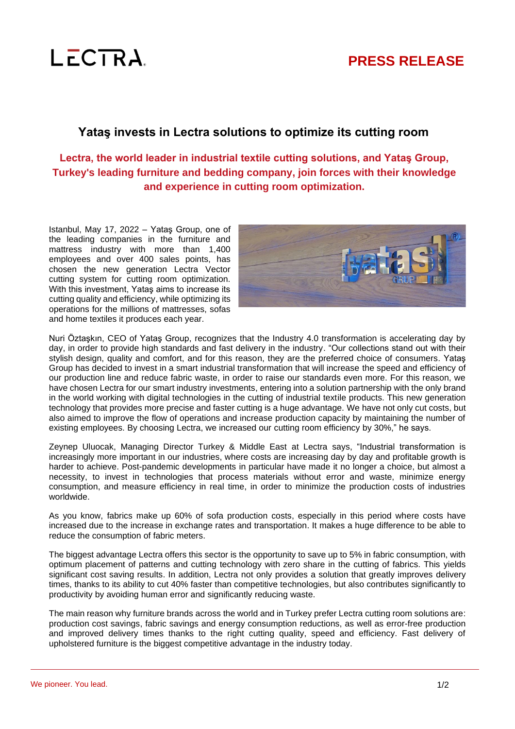

# **Yataş invests in Lectra solutions to optimize its cutting room**

**Lectra, the world leader in industrial textile cutting solutions, and Yataş Group, Turkey's leading furniture and bedding company, join forces with their knowledge and experience in cutting room optimization.**

Istanbul, May 17, 2022 – Yataş Group, one of the leading companies in the furniture and mattress industry with more than 1,400 employees and over 400 sales points, has chosen the new generation Lectra Vector cutting system for cutting room optimization. With this investment, Yataş aims to increase its cutting quality and efficiency, while optimizing its operations for the millions of mattresses, sofas and home textiles it produces each year.



Nuri Öztaşkın, CEO of Yataş Group, recognizes that the Industry 4.0 transformation is accelerating day by day, in order to provide high standards and fast delivery in the industry. "Our collections stand out with their stylish design, quality and comfort, and for this reason, they are the preferred choice of consumers. Yataş Group has decided to invest in a smart industrial transformation that will increase the speed and efficiency of our production line and reduce fabric waste, in order to raise our standards even more. For this reason, we have chosen Lectra for our smart industry investments, entering into a solution partnership with the only brand in the world working with digital technologies in the cutting of industrial textile products. This new generation technology that provides more precise and faster cutting is a huge advantage. We have not only cut costs, but also aimed to improve the flow of operations and increase production capacity by maintaining the number of existing employees. By choosing Lectra, we increased our cutting room efficiency by 30%," he says.

Zeynep Uluocak, Managing Director Turkey & Middle East at Lectra says, "Industrial transformation is increasingly more important in our industries, where costs are increasing day by day and profitable growth is harder to achieve. Post-pandemic developments in particular have made it no longer a choice, but almost a necessity, to invest in technologies that process materials without error and waste, minimize energy consumption, and measure efficiency in real time, in order to minimize the production costs of industries worldwide.

As you know, fabrics make up 60% of sofa production costs, especially in this period where costs have increased due to the increase in exchange rates and transportation. It makes a huge difference to be able to reduce the consumption of fabric meters.

The biggest advantage Lectra offers this sector is the opportunity to save up to 5% in fabric consumption, with optimum placement of patterns and cutting technology with zero share in the cutting of fabrics. This yields significant cost saving results. In addition, Lectra not only provides a solution that greatly improves delivery times, thanks to its ability to cut 40% faster than competitive technologies, but also contributes significantly to productivity by avoiding human error and significantly reducing waste.

The main reason why furniture brands across the world and in Turkey prefer Lectra cutting room solutions are: production cost savings, fabric savings and energy consumption reductions, as well as error-free production and improved delivery times thanks to the right cutting quality, speed and efficiency. Fast delivery of upholstered furniture is the biggest competitive advantage in the industry today.